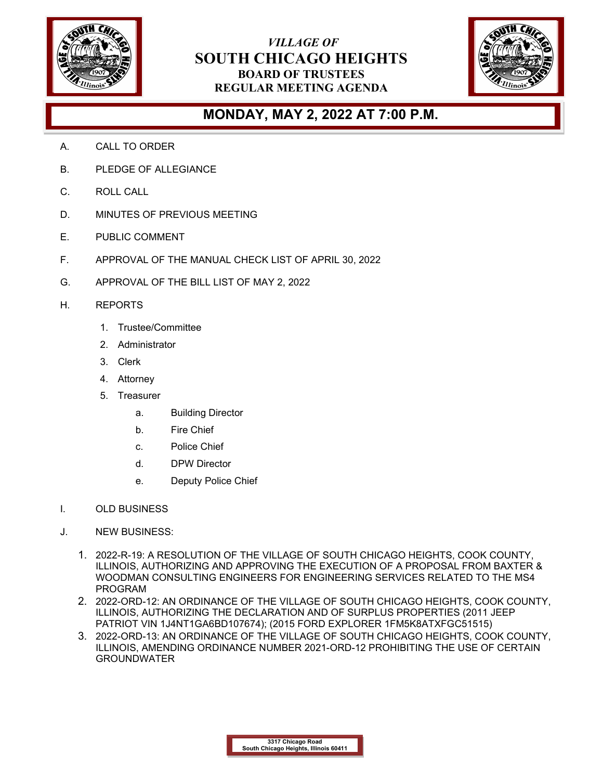

## *VILLAGE OF* **SOUTH CHICAGO HEIGHTS BOARD OF TRUSTEES REGULAR MEETING AGENDA**



## **MONDAY, MAY 2, 2022 AT 7:00 P.M.**

- A. CALL TO ORDER
- B. PLEDGE OF ALLEGIANCE
- C. ROLL CALL
- D. MINUTES OF PREVIOUS MEETING
- E. PUBLIC COMMENT
- F. APPROVAL OF THE MANUAL CHECK LIST OF APRIL 30, 2022
- G. APPROVAL OF THE BILL LIST OF MAY 2, 2022
- H. REPORTS
	- 1. Trustee/Committee
	- 2. Administrator
	- 3. Clerk
	- 4. Attorney
	- 5. Treasurer
		- a. Building Director
		- b. Fire Chief
		- c. Police Chief
		- d. DPW Director
		- e. Deputy Police Chief
- I. OLD BUSINESS
- J. NEW BUSINESS:
	- 1. 2022-R-19: A RESOLUTION OF THE VILLAGE OF SOUTH CHICAGO HEIGHTS, COOK COUNTY, ILLINOIS, AUTHORIZING AND APPROVING THE EXECUTION OF A PROPOSAL FROM BAXTER & WOODMAN CONSULTING ENGINEERS FOR ENGINEERING SERVICES RELATED TO THE MS4 PROGRAM
	- 2. 2022-ORD-12: AN ORDINANCE OF THE VILLAGE OF SOUTH CHICAGO HEIGHTS, COOK COUNTY, ILLINOIS, AUTHORIZING THE DECLARATION AND OF SURPLUS PROPERTIES (2011 JEEP PATRIOT VIN 1J4NT1GA6BD107674); (2015 FORD EXPLORER 1FM5K8ATXFGC51515)
	- 3. 2022-ORD-13: AN ORDINANCE OF THE VILLAGE OF SOUTH CHICAGO HEIGHTS, COOK COUNTY, ILLINOIS, AMENDING ORDINANCE NUMBER 2021-ORD-12 PROHIBITING THE USE OF CERTAIN GROUNDWATER